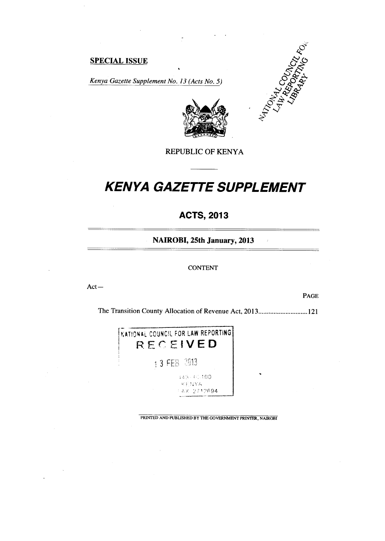## **SPECIAL ISSUE**

*Kenya Gazette Supplement No. 13 (Acts No. 5)* 



 $\hat{r}$ 



#### REPUBLIC OF KENYA

# *KENYA GAZETTE SUPPLEMENT*

# **ACTS, 2013**

**NAIROBI, 25th January, 2013** 

#### **CONTENT**

Act —

PAGE

The Transition County Allocation of Revenue Act, 2013............................121



PRINTED AND PUBLISHED BY THE GOVERNMENT PRINTER, NAIROBI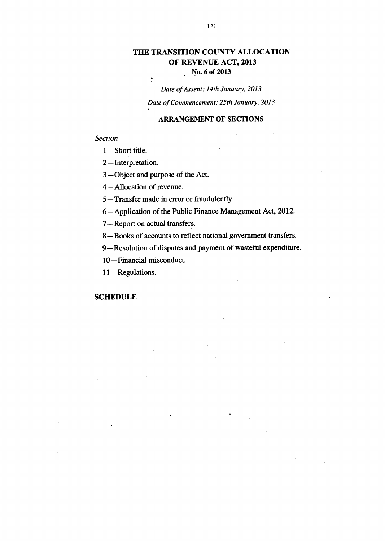## **THE TRANSITION COUNTY ALLOCATION OF REVENUE ACT, 2013 No. 6 of 2013**

## *Date of Assent: 14th January, 2013*

*Date of Commencement: 25th January, 2013* 

#### **ARRANGEMENT OF SECTIONS**

#### *Section*

*1— Short* title.

2—Interpretation.

3—Object and purpose of the Act.

 $\frac{1}{\epsilon}$ 

4—Allocation of revenue.

5—Transfer made in error or fraudulently.

6— Application of the Public Finance Management Act, 2012.

7—Report on actual transfers.

8—Books of accounts to reflect national government transfers.

9—Resolution of disputes and payment of wasteful expenditure.

10—Financial misconduct.

11 — Regulations.

#### **SCHEDULE**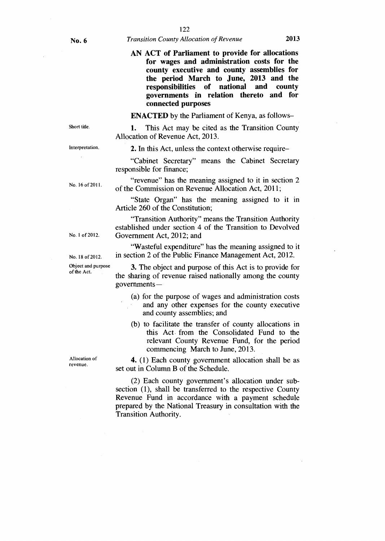#### No. 6 *Transition County Allocation of Revenue* 2013

#### **AN ACT of Parliament to provide for allocations for wages and administration costs for the county executive and county assemblies for the period March to June, 2013 and the responsibilities of national and county governments in relation thereto and for connected purposes**

**ENACTED** by the Parliament of Kenya, as follows-

**1.** This Act may be cited as the Transition County Allocation of Revenue Act, 2013.

Interpretation.

Short title.

**2.** In this Act, unless the context otherwise require–

"Cabinet Secretary" means the Cabinet Secretary responsible for finance;

of the Commission on Revenue Allocation Act, 2011;

"revenue" has the meaning assigned to it in section 2

"State Organ" has the meaning assigned to it in

No. 16 of 2011.

No. 1 of 2012.

No. 18 of 2012. Object and purpose of the Act.

Article 260 of the Constitution; "Transition Authority" means the Transition Authority

established under section 4 of the Transition to Devolved Government Act, 2012; and

"Wasteful expenditure" has the meaning assigned to it in section 2 of the Public Finance Management Act, 2012.

**3.** The object and purpose of this Act is to provide for the sharing of revenue raised nationally among the county governments —

- (a) for the purpose of wages and administration costs and any other expenses for the county executive and county assemblies; and
- (b) to facilitate the transfer of county allocations in this Act from the Consolidated Fund to the relevant County Revenue Fund, for the period commencing March to June, 2013.

**4.** (1) Each county government allocation shall be as set out in Column **B** of the Schedule.

(2) Each county government's allocation under subsection (1), shall be transferred to the respective County Revenue Fund in accordance with a payment schedule prepared by the National Treasury in consultation with the Transition Authority.

Allocation of revenue.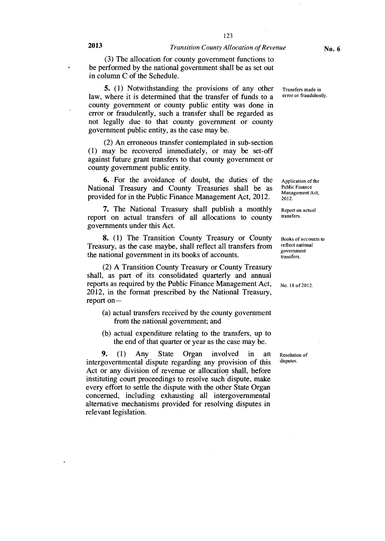(3) The allocation for county government functions to be performed by the national government shall be as set out in column C of the Schedule.

5. (1) Notwithstanding the provisions of any other law, where it is determined that the transfer of funds to a county government or county public entity was done in error or fraudulently, such a transfer shall be regarded as not legally due to that county government or county government public entity, as the case may be.

(2) An erroneous transfer contemplated in sub-section (1) may be recovered immediately, or may be set-off against future grant transfers to that county government or county government public entity.

6. For the avoidance of doubt, the duties of the National Treasury and County Treasuries shall be as provided for in the Public Finance Management Act, 2012.

**7.** The National Treasury shall publish a monthly report on actual transfers of all allocations to county governments under this Act.

**8.** (1) The Transition County Treasury or County Treasury, as the case maybe, shall reflect all transfers from the national government in its books of accounts.

(2) A Transition County Treasury or County Treasury shall, as part of its consolidated quarterly and annual reports as required by the Public Finance Management Act, 2012, in the format prescribed by the National Treasury, report on—

- (a) actual transfers received by the county government from the national government; and
- (b) actual expenditure relating to the transfers, up to the end of that quarter or year as the case may be.

**9. (1)** Any State Organ involved in an intergovernmental dispute regarding any provision of this Act or any division of revenue or allocation shall, before instituting court proceedings to resolve such dispute, make every effort to settle the dispute with the other State Organ concerned, including exhausting all intergovernmental alternative mechanisms provided for resolving disputes in relevant legislation.

Transfers made in error or fraudulently.

Application of the Public Finance Management Act, 2012.

Report on actual transfers.

Books of accounts to reflect national government transfers.

No. 18 of 2012.

Resolution of disputes.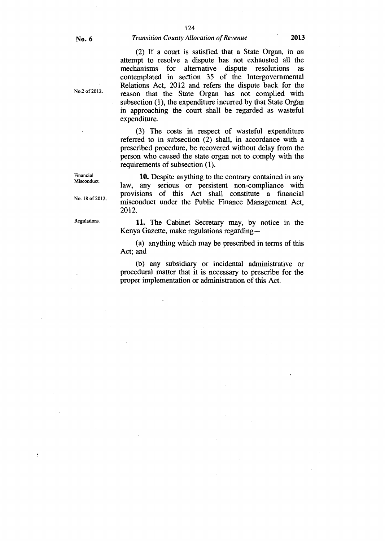#### No. 6 *Transition County Allocation of Revenue* 2013

(2) If a court is satisfied that a State Organ, in an attempt to resolve a dispute has not exhausted all the mechanisms for alternative dispute resolutions as contemplated in section 35 of the Intergovernmental Relations Act, 2012 and refers the dispute back for the reason that the State Organ has not complied with subsection (1), the expenditure incurred by that State Organ in approaching the court shall be regarded as wasteful expenditure.

(3) The costs in respect of wasteful expenditure referred to in subsection (2) shall, in accordance with a prescribed procedure, be recovered without delay from the person who caused the state organ not to comply with the requirements of subsection (1).

10. Despite anything to the contrary contained in any law, any serious or persistent non-compliance with provisions of this Act shall constitute a financial misconduct under the Public Finance Management Act, 2012.

Regulations. 11. The Cabinet Secretary may, by notice in the Kenya Gazette, make regulations regarding —

> (a) anything which may be prescribed in terms of this Act; and

> (b) any subsidiary or incidental administrative or procedural matter that it is necessary to prescribe for the proper implementation or administration of this Act.

Financial Misconduct.

No. 18 of 2012.

No.2 of 2012.

Ą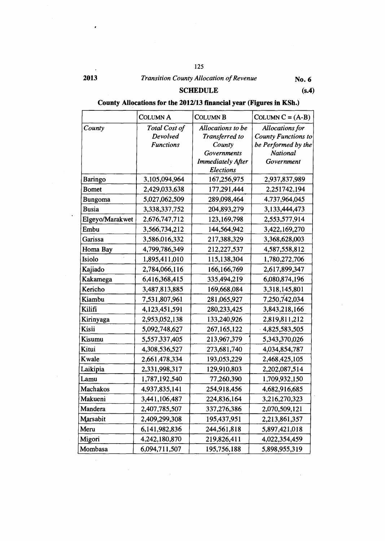125

 $\epsilon$ 

# **2013** *Transition County Allocation of Revenue* **No. 6**

**SCHEDULE (s.4)** 

## **County Allocations for the 2012/13 financial year (Figures in KSh.)**

|                 | <b>COLUMN A</b>  | <b>COLUMN B</b>          | COLUMN $C = (A-B)$         |
|-----------------|------------------|--------------------------|----------------------------|
| County          | Total Cost of    | Allocations to be        | <b>Allocations</b> for     |
|                 | Devolved         | Transferred to           | <b>County Functions to</b> |
|                 | <b>Functions</b> | County                   | be Performed by the        |
|                 |                  | <b>Governments</b>       | National                   |
|                 |                  | <b>Immediately After</b> | Government                 |
|                 |                  | <b>Elections</b>         |                            |
| Baringo         | 3,105,094,964    | 167,256,975              | 2,937,837,989              |
| <b>Bomet</b>    | 2,429,033,638    | 177,291,444              | 2,251742,194               |
| Bungoma         | 5,027,062,509    | 289,098,464              | 4,737,964,045              |
| <b>Busia</b>    | 3,338,337,752    | 204,893,279              | 3,133,444,473              |
| Elgeyo/Marakwet | 2,676,747,712    | 123, 169, 798            | 2,553,577,914              |
| Embu            | 3,566,734,212    | 144,564,942              | 3,422,169,270              |
| Garissa         | 3,586,016,332    | 217,388,329              | 3,368,628,003              |
| Homa Bay        | 4,799,786,349    | 212,227,537              | 4,587,558,812              |
| Isiolo          | 1,895,411,010    | 115,138,304              | 1,780,272,706              |
| Kajiado         | 2,784,066,116    | 166,166,769              | 2,617,899,347              |
| Kakamega        | 6,416,368,415    | 335,494,219              | 6,080,874,196              |
| Kericho         | 3,487,813,885    | 169,668,084              | 3,318,145,801              |
| Kiambu          | 7,531,807,961    | 281,065,927              | 7,250,742,034              |
| Kilifi          | 4,123,451,591    | 280, 233, 425            | 3,843,218,166              |
| Kirinyaga       | 2,953,052,138    | 133,240,926              | 2,819,811,212              |
| Kisii           | 5,092,748,627    | 267, 165, 122            | 4,825,583,505              |
| Kisumu          | 5,557,337,405    | 213,967,379              | 5,343,370,026              |
| Kitui           | 4,308,536,527    | 273,681,740              | 4,034,854,787              |
| Kwale           | 2,661,478,334    | 193,053,229              | 2,468,425,105              |
| Laikipia        | 2,331,998,317    | 129,910,803              | 2,202,087,514              |
| Lamu            | 1,787,192,540    | 77,260,390               | 1,709,932,150              |
| Machakos        | 4,937,835,141    | 254,918,456              | 4,682,916,685              |
| Makueni         | 3,441,106,487    | 224,836,164              | 3,216,270,323              |
| Mandera         | 2,407,785,507    | 337,276,386              | 2,070,509,121              |
| Marsabit        | 2,409,299,308    | 195,437,951              | 2,213,861,357              |
| Meru            | 6,141,982,836    | 244,561,818              | 5,897,421,018              |
| Migori          | 4,242,180,870    | 219,826,411              | 4,022,354,459              |
| Mombasa         | 6,094,711,507    | 195,756,188              | 5,898,955,319              |